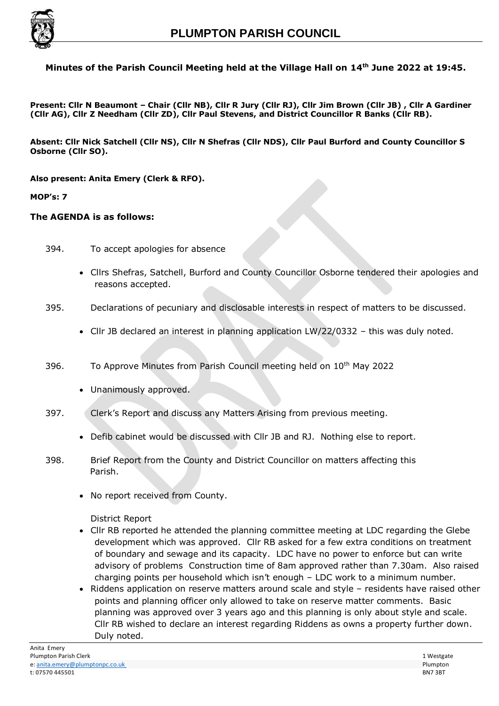

## **Minutes of the Parish Council Meeting held at the Village Hall on 14th June 2022 at 19:45.**

**Present: Cllr N Beaumont – Chair (Cllr NB), Cllr R Jury (Cllr RJ), Cllr Jim Brown (Cllr JB) , Cllr A Gardiner (Cllr AG), Cllr Z Needham (Cllr ZD), Cllr Paul Stevens, and District Councillor R Banks (Cllr RB).**

**Absent: Cllr Nick Satchell (Cllr NS), Cllr N Shefras (Cllr NDS), Cllr Paul Burford and County Councillor S Osborne (Cllr SO).**

**Also present: Anita Emery (Clerk & RFO).**

**MOP's: 7**

#### **The AGENDA is as follows:**

394. To accept apologies for absence

- Cllrs Shefras, Satchell, Burford and County Councillor Osborne tendered their apologies and reasons accepted.
- 395. Declarations of pecuniary and disclosable interests in respect of matters to be discussed.
	- Cllr JB declared an interest in planning application LW/22/0332 this was duly noted.
- 396. To Approve Minutes from Parish Council meeting held on 10th May 2022
	- Unanimously approved.
- 397. Clerk's Report and discuss any Matters Arising from previous meeting.
	- Defib cabinet would be discussed with Cllr JB and RJ. Nothing else to report.
- 398. Brief Report from the County and District Councillor on matters affecting this Parish.
	- No report received from County.

District Report

- Cllr RB reported he attended the planning committee meeting at LDC regarding the Glebe development which was approved. Cllr RB asked for a few extra conditions on treatment of boundary and sewage and its capacity. LDC have no power to enforce but can write advisory of problems Construction time of 8am approved rather than 7.30am. Also raised charging points per household which isn't enough – LDC work to a minimum number.
- Riddens application on reserve matters around scale and style residents have raised other points and planning officer only allowed to take on reserve matter comments. Basic planning was approved over 3 years ago and this planning is only about style and scale. Cllr RB wished to declare an interest regarding Riddens as owns a property further down. Duly noted.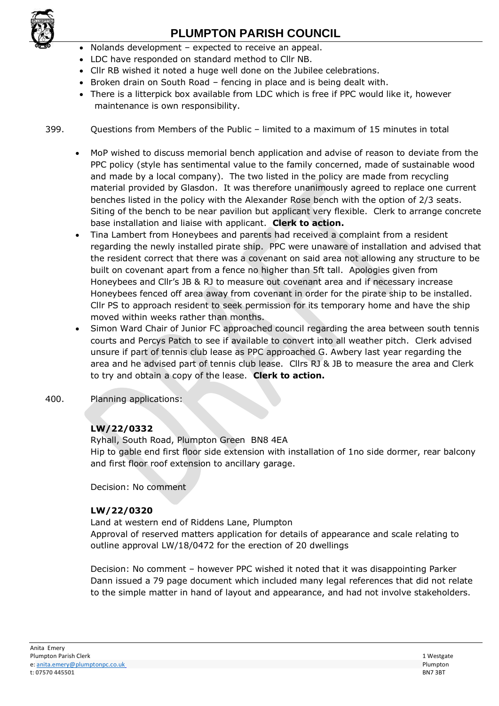

# **PLUMPTON PARISH COUNCIL**

- Nolands development expected to receive an appeal.
- LDC have responded on standard method to Cllr NB.
- Cllr RB wished it noted a huge well done on the Jubilee celebrations.
- Broken drain on South Road fencing in place and is being dealt with.
- There is a litterpick box available from LDC which is free if PPC would like it, however maintenance is own responsibility.
- 399. Questions from Members of the Public limited to a maximum of 15 minutes in total
	- MoP wished to discuss memorial bench application and advise of reason to deviate from the PPC policy (style has sentimental value to the family concerned, made of sustainable wood and made by a local company). The two listed in the policy are made from recycling material provided by Glasdon. It was therefore unanimously agreed to replace one current benches listed in the policy with the Alexander Rose bench with the option of 2/3 seats. Siting of the bench to be near pavilion but applicant very flexible. Clerk to arrange concrete base installation and liaise with applicant. **Clerk to action.**
	- Tina Lambert from Honeybees and parents had received a complaint from a resident regarding the newly installed pirate ship. PPC were unaware of installation and advised that the resident correct that there was a covenant on said area not allowing any structure to be built on covenant apart from a fence no higher than 5ft tall. Apologies given from Honeybees and Cllr's JB & RJ to measure out covenant area and if necessary increase Honeybees fenced off area away from covenant in order for the pirate ship to be installed. Cllr PS to approach resident to seek permission for its temporary home and have the ship moved within weeks rather than months.
	- Simon Ward Chair of Junior FC approached council regarding the area between south tennis courts and Percys Patch to see if available to convert into all weather pitch. Clerk advised unsure if part of tennis club lease as PPC approached G. Awbery last year regarding the area and he advised part of tennis club lease. Cllrs RJ & JB to measure the area and Clerk to try and obtain a copy of the lease. **Clerk to action.**
- 400. Planning applications:

## **LW/22/0332**

Ryhall, South Road, Plumpton Green BN8 4EA

Hip to gable end first floor side extension with installation of 1no side dormer, rear balcony and first floor roof extension to ancillary garage.

Decision: No comment

## **LW/22/0320**

Land at western end of Riddens Lane, Plumpton

Approval of reserved matters application for details of appearance and scale relating to outline approval LW/18/0472 for the erection of 20 dwellings

Decision: No comment – however PPC wished it noted that it was disappointing Parker Dann issued a 79 page document which included many legal references that did not relate to the simple matter in hand of layout and appearance, and had not involve stakeholders.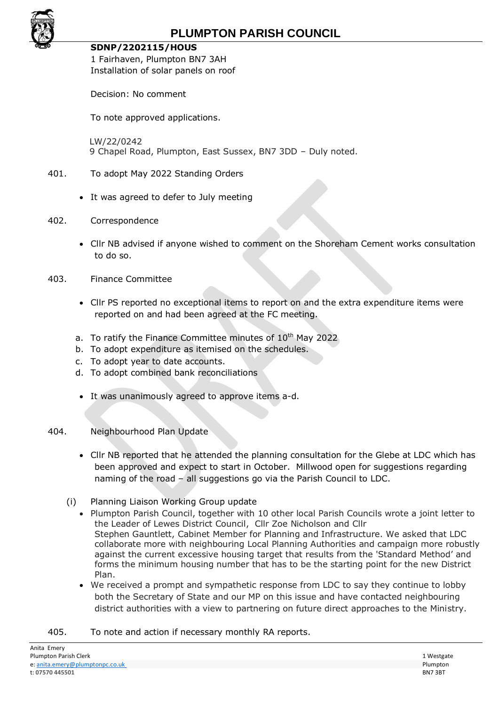

#### **SDNP/2202115/HOUS**

1 Fairhaven, Plumpton BN7 3AH Installation of solar panels on roof

Decision: No comment

To note approved applications.

LW/22/0242 9 Chapel Road, Plumpton, East Sussex, BN7 3DD – Duly noted.

### 401. To adopt May 2022 Standing Orders

- It was agreed to defer to July meeting
- 402. Correspondence
	- Cllr NB advised if anyone wished to comment on the Shoreham Cement works consultation to do so.
- 403. Finance Committee
	- Cllr PS reported no exceptional items to report on and the extra expenditure items were reported on and had been agreed at the FC meeting.
	- a. To ratify the Finance Committee minutes of 10<sup>th</sup> May 2022
	- b. To adopt expenditure as itemised on the schedules.
	- c. To adopt year to date accounts.
	- d. To adopt combined bank reconciliations
	- It was unanimously agreed to approve items a-d.

#### 404. Neighbourhood Plan Update

- Cllr NB reported that he attended the planning consultation for the Glebe at LDC which has been approved and expect to start in October. Millwood open for suggestions regarding naming of the road – all suggestions go via the Parish Council to LDC.
- (i) Planning Liaison Working Group update
	- Plumpton Parish Council, together with 10 other local Parish Councils wrote a joint letter to the Leader of Lewes District Council, Cllr Zoe Nicholson and Cllr Stephen Gauntlett, Cabinet Member for Planning and Infrastructure. We asked that LDC collaborate more with neighbouring Local Planning Authorities and campaign more robustly against the current excessive housing target that results from the 'Standard Method' and forms the minimum housing number that has to be the starting point for the new District Plan.
	- We received a prompt and sympathetic response from LDC to say they continue to lobby both the Secretary of State and our MP on this issue and have contacted neighbouring district authorities with a view to partnering on future direct approaches to the Ministry.
- 405. To note and action if necessary monthly RA reports.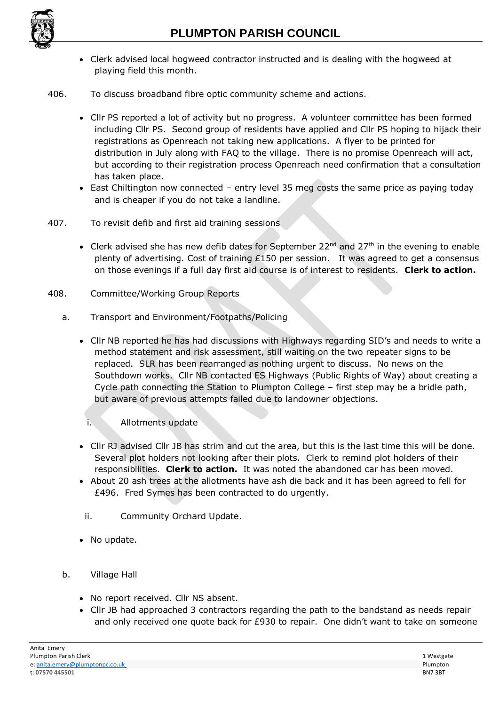

- Clerk advised local hogweed contractor instructed and is dealing with the hogweed at playing field this month.
- 406. To discuss broadband fibre optic community scheme and actions.
	- Cllr PS reported a lot of activity but no progress. A volunteer committee has been formed including Cllr PS. Second group of residents have applied and Cllr PS hoping to hijack their registrations as Openreach not taking new applications. A flyer to be printed for distribution in July along with FAQ to the village. There is no promise Openreach will act, but according to their registration process Openreach need confirmation that a consultation has taken place.
	- East Chiltington now connected entry level 35 meg costs the same price as paying today and is cheaper if you do not take a landline.
- 407. To revisit defib and first aid training sessions
	- Clerk advised she has new defib dates for September 22<sup>nd</sup> and 27<sup>th</sup> in the evening to enable plenty of advertising. Cost of training £150 per session. It was agreed to get a consensus on those evenings if a full day first aid course is of interest to residents. **Clerk to action.**
- 408. Committee/Working Group Reports
	- a. Transport and Environment/Footpaths/Policing
		- Cllr NB reported he has had discussions with Highways regarding SID's and needs to write a method statement and risk assessment, still waiting on the two repeater signs to be replaced. SLR has been rearranged as nothing urgent to discuss. No news on the Southdown works. Cllr NB contacted ES Highways (Public Rights of Way) about creating a Cycle path connecting the Station to Plumpton College – first step may be a bridle path, but aware of previous attempts failed due to landowner objections.
			- i. Allotments update
		- Cllr RJ advised Cllr JB has strim and cut the area, but this is the last time this will be done. Several plot holders not looking after their plots. Clerk to remind plot holders of their responsibilities. **Clerk to action.** It was noted the abandoned car has been moved.
		- About 20 ash trees at the allotments have ash die back and it has been agreed to fell for £496. Fred Symes has been contracted to do urgently.
		- ii. Community Orchard Update.
		- No update.
	- b. Village Hall
		- No report received. Cllr NS absent.
		- Cllr JB had approached 3 contractors regarding the path to the bandstand as needs repair and only received one quote back for £930 to repair. One didn't want to take on someone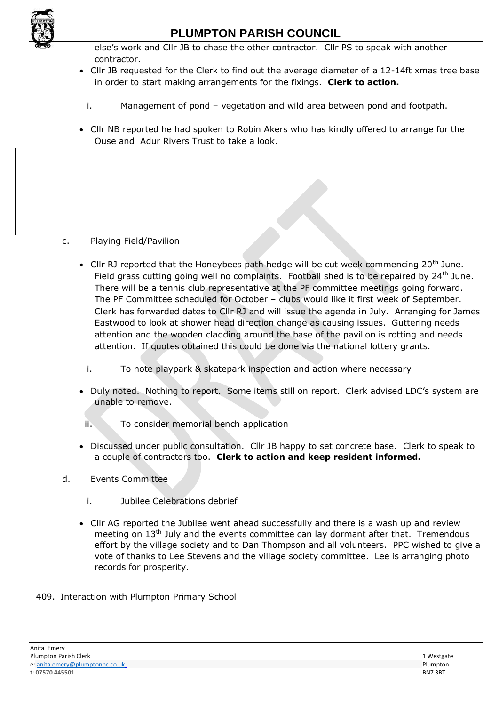

## **PLUMPTON PARISH COUNCIL**

else's work and Cllr JB to chase the other contractor. Cllr PS to speak with another contractor.

- Cllr JB requested for the Clerk to find out the average diameter of a 12-14ft xmas tree base in order to start making arrangements for the fixings. **Clerk to action.**
	- i. Management of pond vegetation and wild area between pond and footpath.
- Cllr NB reported he had spoken to Robin Akers who has kindly offered to arrange for the Ouse and Adur Rivers Trust to take a look.

### c. Playing Field/Pavilion

- Cllr RJ reported that the Honeybees path hedge will be cut week commencing  $20<sup>th</sup>$  June. Field grass cutting going well no complaints. Football shed is to be repaired by  $24<sup>th</sup>$  June. There will be a tennis club representative at the PF committee meetings going forward. The PF Committee scheduled for October – clubs would like it first week of September. Clerk has forwarded dates to Cllr RJ and will issue the agenda in July. Arranging for James Eastwood to look at shower head direction change as causing issues. Guttering needs attention and the wooden cladding around the base of the pavilion is rotting and needs attention. If quotes obtained this could be done via the national lottery grants.
	- i. To note playpark & skatepark inspection and action where necessary
- Duly noted. Nothing to report. Some items still on report. Clerk advised LDC's system are unable to remove.
	- ii. To consider memorial bench application
- Discussed under public consultation. Cllr JB happy to set concrete base. Clerk to speak to a couple of contractors too. **Clerk to action and keep resident informed.**
- d. Events Committee
	- i. Jubilee Celebrations debrief
	- Cllr AG reported the Jubilee went ahead successfully and there is a wash up and review meeting on 13<sup>th</sup> July and the events committee can lay dormant after that. Tremendous effort by the village society and to Dan Thompson and all volunteers. PPC wished to give a vote of thanks to Lee Stevens and the village society committee. Lee is arranging photo records for prosperity.
- 409. Interaction with Plumpton Primary School